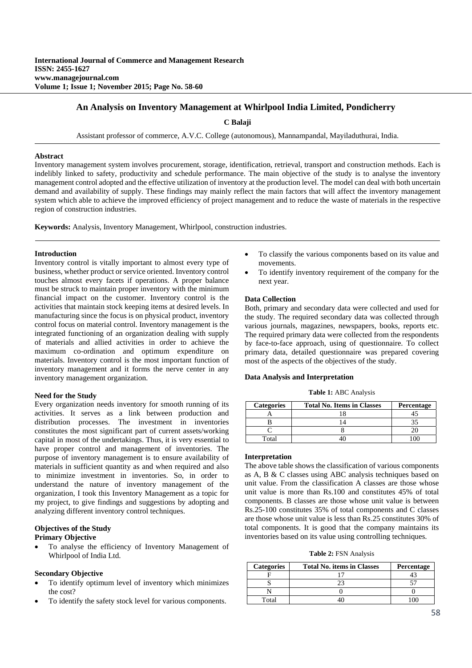# **An Analysis on Inventory Management at Whirlpool India Limited, Pondicherry**

**C Balaji** 

Assistant professor of commerce, A.V.C. College (autonomous), Mannampandal, Mayiladuthurai, India.

### **Abstract**

Inventory management system involves procurement, storage, identification, retrieval, transport and construction methods. Each is indelibly linked to safety, productivity and schedule performance. The main objective of the study is to analyse the inventory management control adopted and the effective utilization of inventory at the production level. The model can deal with both uncertain demand and availability of supply. These findings may mainly reflect the main factors that will affect the inventory management system which able to achieve the improved efficiency of project management and to reduce the waste of materials in the respective region of construction industries.

**Keywords:** Analysis, Inventory Management, Whirlpool, construction industries.

## **Introduction**

Inventory control is vitally important to almost every type of business, whether product or service oriented. Inventory control touches almost every facets if operations. A proper balance must be struck to maintain proper inventory with the minimum financial impact on the customer. Inventory control is the activities that maintain stock keeping items at desired levels. In manufacturing since the focus is on physical product, inventory control focus on material control. Inventory management is the integrated functioning of an organization dealing with supply of materials and allied activities in order to achieve the maximum co-ordination and optimum expenditure on materials. Inventory control is the most important function of inventory management and it forms the nerve center in any inventory management organization.

#### **Need for the Study**

Every organization needs inventory for smooth running of its activities. It serves as a link between production and distribution processes. The investment in inventories constitutes the most significant part of current assets/working capital in most of the undertakings. Thus, it is very essential to have proper control and management of inventories. The purpose of inventory management is to ensure availability of materials in sufficient quantity as and when required and also to minimize investment in inventories. So, in order to understand the nature of inventory management of the organization, I took this Inventory Management as a topic for my project, to give findings and suggestions by adopting and analyzing different inventory control techniques.

## **Objectives of the Study Primary Objective**

 To analyse the efficiency of Inventory Management of Whirlpool of India Ltd.

### **Secondary Objective**

- To identify optimum level of inventory which minimizes the cost?
- To identify the safety stock level for various components.
- To classify the various components based on its value and movements.
- To identify inventory requirement of the company for the next year.

## **Data Collection**

Both, primary and secondary data were collected and used for the study. The required secondary data was collected through various journals, magazines, newspapers, books, reports etc. The required primary data were collected from the respondents by face-to-face approach, using of questionnaire. To collect primary data, detailed questionnaire was prepared covering most of the aspects of the objectives of the study.

#### **Data Analysis and Interpretation**

**Table 1:** ABC Analysis

| <b>Categories</b> | <b>Total No. Items in Classes</b> | Percentage |
|-------------------|-----------------------------------|------------|
|                   |                                   |            |
|                   |                                   |            |
|                   |                                   |            |
| Total             |                                   |            |

## **Interpretation**

The above table shows the classification of various components as A, B & C classes using ABC analysis techniques based on unit value. From the classification A classes are those whose unit value is more than Rs.100 and constitutes 45% of total components. B classes are those whose unit value is between Rs.25-100 constitutes 35% of total components and C classes are those whose unit value is less than Rs.25 constitutes 30% of total components. It is good that the company maintains its inventories based on its value using controlling techniques.

**Table 2:** FSN Analysis

| <b>Categories</b> | <b>Total No. items in Classes</b> | Percentage |
|-------------------|-----------------------------------|------------|
|                   |                                   |            |
|                   |                                   |            |
|                   |                                   |            |
| Total             |                                   |            |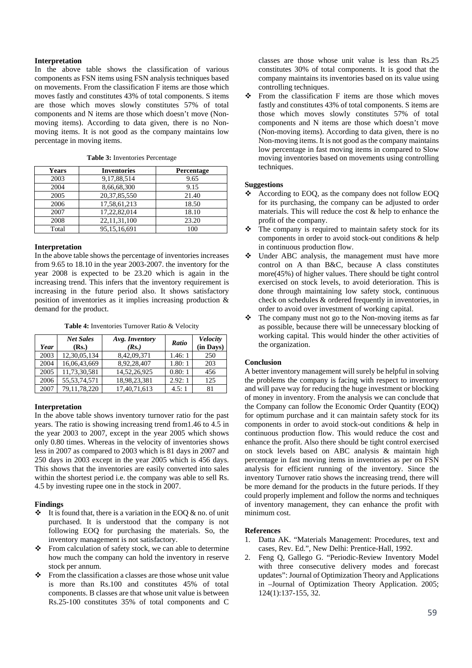## **Interpretation**

In the above table shows the classification of various components as FSN items using FSN analysis techniques based on movements. From the classification F items are those which moves fastly and constitutes 43% of total components. S items are those which moves slowly constitutes 57% of total components and N items are those which doesn't move (Nonmoving items). According to data given, there is no Nonmoving items. It is not good as the company maintains low percentage in moving items.

| Years | <b>Inventories</b> | Percentage |
|-------|--------------------|------------|
| 2003  | 9,17,88,514        | 9.65       |
| 2004  | 8,66,68,300        | 9.15       |
| 2005  | 20, 37, 85, 550    | 21.40      |
| 2006  | 17,58,61,213       | 18.50      |
| 2007  | 17,22,82,014       | 18.10      |
| 2008  | 22, 11, 31, 100    | 23.20      |
| Total | 95,15,16,691       | 100        |

**Table 3:** Inventories Percentage

#### **Interpretation**

In the above table shows the percentage of inventories increases from 9.65 to 18.10 in the year 2003-2007. the inventory for the year 2008 is expected to be 23.20 which is again in the increasing trend. This infers that the inventory requirement is increasing in the future period also. It shows satisfactory position of inventories as it implies increasing production & demand for the product.

**Table 4:** Inventories Turnover Ratio & Velocity

| Year | <b>Net Sales</b><br>(Rs.) | Avg. Inventory<br>(Rs.) | Ratio  | <b>Velocity</b><br>(in Days) |
|------|---------------------------|-------------------------|--------|------------------------------|
| 2003 | 12,30,05,134              | 8,42,09,371             | 1.46:1 | 250                          |
| 2004 | 16,06,43,669              | 8.92.28.407             | 1.80:1 | 203                          |
| 2005 | 11,73,30,581              | 14.52.26.925            | 0.80:1 | 456                          |
| 2006 | 55, 53, 74, 571           | 18,98,23,381            | 2.92:1 | 125                          |
| 2007 | 79, 11, 78, 220           | 17.40.71.613            | 4.5:1  | 81                           |

## **Interpretation**

In the above table shows inventory turnover ratio for the past years. The ratio is showing increasing trend from1.46 to 4.5 in the year 2003 to 2007, except in the year 2005 which shows only 0.80 times. Whereas in the velocity of inventories shows less in 2007 as compared to 2003 which is 81 days in 2007 and 250 days in 2003 except in the year 2005 which is 456 days. This shows that the inventories are easily converted into sales within the shortest period i.e. the company was able to sell Rs. 4.5 by investing rupee one in the stock in 2007.

#### **Findings**

- $\cdot \cdot$  It is found that, there is a variation in the EOQ & no. of unit purchased. It is understood that the company is not following EOQ for purchasing the materials. So, the inventory management is not satisfactory.
- \* From calculation of safety stock, we can able to determine how much the company can hold the inventory in reserve stock per annum.
- $\div$  From the classification a classes are those whose unit value is more than Rs.100 and constitutes 45% of total components. B classes are that whose unit value is between Rs.25-100 constitutes 35% of total components and C

classes are those whose unit value is less than Rs.25 constitutes 30% of total components. It is good that the company maintains its inventories based on its value using controlling techniques.

 $\div$  From the classification F items are those which moves fastly and constitutes 43% of total components. S items are those which moves slowly constitutes 57% of total components and N items are those which doesn't move (Non-moving items). According to data given, there is no Non-moving items. It is not good as the company maintains low percentage in fast moving items in compared to Slow moving inventories based on movements using controlling techniques.

### **Suggestions**

- According to EOO, as the company does not follow EOO for its purchasing, the company can be adjusted to order materials. This will reduce the cost & help to enhance the profit of the company.
- $\triangle$  The company is required to maintain safety stock for its components in order to avoid stock-out conditions & help in continuous production flow.
- Under ABC analysis, the management must have more control on A than B&C, because A class constitutes more(45%) of higher values. There should be tight control exercised on stock levels, to avoid deterioration. This is done through maintaining low safety stock, continuous check on schedules & ordered frequently in inventories, in order to avoid over investment of working capital.
- $\triangle$  The company must not go to the Non-moving items as far as possible, because there will be unnecessary blocking of working capital. This would hinder the other activities of the organization.

#### **Conclusion**

A better inventory management will surely be helpful in solving the problems the company is facing with respect to inventory and will pave way for reducing the huge investment or blocking of money in inventory. From the analysis we can conclude that the Company can follow the Economic Order Quantity (EOQ) for optimum purchase and it can maintain safety stock for its components in order to avoid stock-out conditions & help in continuous production flow. This would reduce the cost and enhance the profit. Also there should be tight control exercised on stock levels based on ABC analysis & maintain high percentage in fast moving items in inventories as per on FSN analysis for efficient running of the inventory. Since the inventory Turnover ratio shows the increasing trend, there will be more demand for the products in the future periods. If they could properly implement and follow the norms and techniques of inventory management, they can enhance the profit with minimum cost.

#### **References**

- 1. Datta AK. "Materials Management: Procedures, text and cases, Rev. Ed.", New Delhi: Prentice-Hall, 1992.
- 2. Feng Q, Gallego G. "Periodic-Review Inventory Model with three consecutive delivery modes and forecast updates": Journal of Optimization Theory and Applications in –Journal of Optimization Theory Application. 2005; 124(1):137-155, 32.